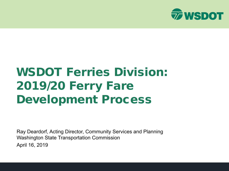

## WSDOT Ferries Division: 2019/20 Ferry Fare Development Process

Ray Deardorf, Acting Director, Community Services and Planning Washington State Transportation Commission April 16, 2019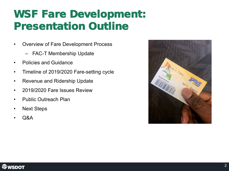### WSF Fare Development: Presentation Outline

- Overview of Fare Development Process
	- FAC-T Membership Update
- Policies and Guidance
- Timeline of 2019/2020 Fare-setting cycle
- Revenue and Ridership Update
- 2019/2020 Fare Issues Review
- Public Outreach Plan
- Next Steps
- Q&A



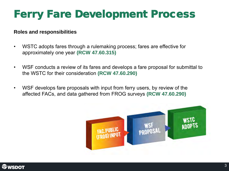## Ferry Fare Development Process

#### **Roles and responsibilities**

- WSTC adopts fares through a rulemaking process; fares are effective for approximately one year **(RCW 47.60.315)**
- WSF conducts a review of its fares and develops a fare proposal for submittal to the WSTC for their consideration **(RCW 47.60.290)**
- WSF develops fare proposals with input from ferry users, by review of the affected FACs, and data gathered from FROG surveys **(RCW 47.60.290)**



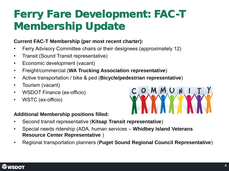### Ferry Fare Development: FAC-T Membership Update

### **Current FAC-T Membership (per most recent charter):**

- Ferry Advisory Committee chairs or their designees (approximately 12)
- Transit (Sound Transit representative)
- Economic development (vacant)
- Freight/commercial (**WA Trucking Association representative**)
- Active transportation / bike & ped (**Bicycle/pedestrian representative**)
- Tourism (vacant)
- WSDOT Finance (ex-officio)
- WSTC (ex-officio)

### **Additional Membership positions filled:**

- Second transit representative (**Kitsap Transit representative**)
- Special needs ridership (ADA, human services **Whidbey Island Veterans Resource Center Representative** )
- Regional transportation planners (**Puget Sound Regional Council Representative**)



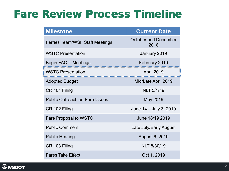### Fare Review Process Timeline

| <b>Milestone</b>                       | <b>Current Date</b>                 |  |  |  |
|----------------------------------------|-------------------------------------|--|--|--|
| <b>Ferries Team/WSF Staff Meetings</b> | <b>October and December</b><br>2018 |  |  |  |
| <b>WSTC Presentation</b>               | January 2019                        |  |  |  |
| <b>Begin FAC-T Meetings</b>            | February 2019                       |  |  |  |
| <b>WSTC Presentation</b>               | April 2019                          |  |  |  |
| <b>Adopted Budget</b>                  | Mid/Late April 2019                 |  |  |  |
| CR 101 Filing                          | <b>NLT 5/1/19</b>                   |  |  |  |
| <b>Public Outreach on Fare Issues</b>  | May 2019                            |  |  |  |
| CR 102 Filing                          | June 14 - July 3, 2019              |  |  |  |
| <b>Fare Proposal to WSTC</b>           | June 18/19 2019                     |  |  |  |
| <b>Public Comment</b>                  | Late July/Early August              |  |  |  |
| <b>Public Hearing</b>                  | August 6, 2019                      |  |  |  |
| CR 103 Filing                          | <b>NLT 8/30/19</b>                  |  |  |  |
| <b>Fares Take Effect</b>               | Oct 1, 2019                         |  |  |  |

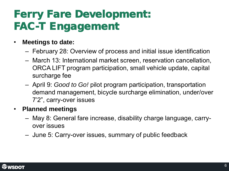## Ferry Fare Development: FAC-T Engagement

- **Meetings to date:**
	- February 28: Overview of process and initial issue identification
	- March 13: International market screen, reservation cancellation, ORCA LIFT program participation, small vehicle update, capital surcharge fee
	- April 9: *Good to Go!* pilot program participation, transportation demand management, bicycle surcharge elimination, under/over 7'2", carry-over issues

### • **Planned meetings**

- May 8: General fare increase, disability charge language, carryover issues
- June 5: Carry-over issues, summary of public feedback

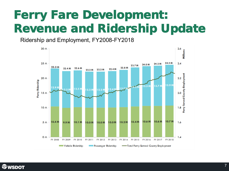Ridership and Employment, FY2008-FY2018



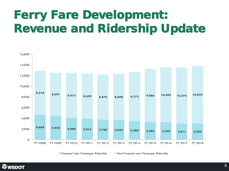

Frequent User Passenger Ridership Non-Frequent-user Passenger Ridership

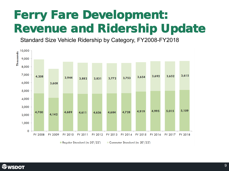Standard Size Vehicle Ridership by Category, FY2008-FY2018



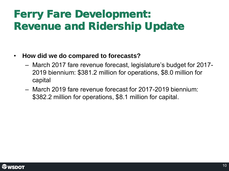- **How did we do compared to forecasts?**
	- March 2017 fare revenue forecast, legislature's budget for 2017- 2019 biennium: \$381.2 million for operations, \$8.0 million for capital
	- March 2019 fare revenue forecast for 2017-2019 biennium: \$382.2 million for operations, \$8.1 million for capital.

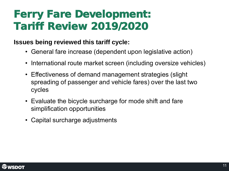### Ferry Fare Development: Tariff Review 2019/2020

### **Issues being reviewed this tariff cycle:**

- General fare increase (dependent upon legislative action)
- International route market screen (including oversize vehicles)
- Effectiveness of demand management strategies (slight spreading of passenger and vehicle fares) over the last two cycles
- Evaluate the bicycle surcharge for mode shift and fare simplification opportunities
- Capital surcharge adjustments

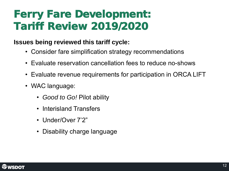### Ferry Fare Development: Tariff Review 2019/2020

### **Issues being reviewed this tariff cycle:**

- Consider fare simplification strategy recommendations
- Evaluate reservation cancellation fees to reduce no-shows
- Evaluate revenue requirements for participation in ORCA LIFT
- WAC language:
	- *Good to Go!* Pilot ability
	- Interisland Transfers
	- Under/Over 7'2"
	- Disability charge language

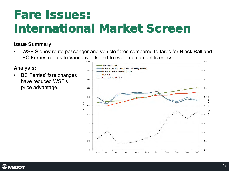## Fare Issues: International Market Screen

### **Issue Summary:**

• WSF Sidney route passenger and vehicle fares compared to fares for Black Ball and BC Ferries routes to Vancouver Island to evaluate competitiveness.

### **Analysis:**

• BC Ferries' fare changes have reduced WSF's price advantage.



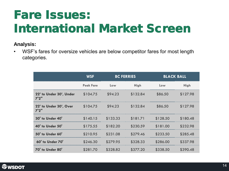# Fare Issues: International Market Screen

### **Analysis:**

• WSF's fares for oversize vehicles are below competitor fares for most length categories.

|                                  | <b>WSF</b>       |          | <b>BC FERRIES</b> | <b>BLACK BALL</b> |             |
|----------------------------------|------------------|----------|-------------------|-------------------|-------------|
|                                  | <b>Peak Fare</b> | Low      | <b>High</b>       | Low               | <b>High</b> |
| 22' to Under 30', Under<br>7'2'' | \$104.75         | \$94.23  | \$132.84          | \$86.50           | \$127.98    |
| 22' to Under 30', Over<br>7'2''  | \$104.75         | \$94.23  | \$132.84          | \$86.50           | \$127.98    |
| <b>30' to Under 40'</b>          | \$140.15         | \$133.33 | \$181.71          | \$128.50          | \$180.48    |
| <b>40' to Under 50'</b>          | \$175.55         | \$182.20 | \$230.59          | \$181.00          | \$232.98    |
| 50' to Under 60'                 | \$210.95         | \$231.08 | \$279.46          | \$233.50          | \$285.48    |
| 60' to Under 70'                 | \$246.30         | \$279.95 | \$328.33          | \$286.00          | \$337.98    |
| 70' to Under 80'                 | \$281.70         | \$328.82 | \$377.20          | \$338.50          | \$390.48    |

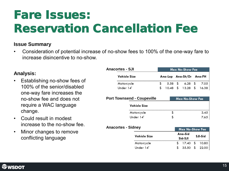## Fare *Issues*: Reservation Cancellation Fee

#### **Issue Summary**

• Consideration of potential increase of no-show fees to 100% of the one-way fare to increase disincentive to no-show.

#### **Analysis:**

- Establishing no-show fees of 100% of the senior/disabled one-way fare increases the no-show fee and does not require a WAC language change.
- Could result in modest increase to the no-show fee.
- Minor changes to remove conflicting language

| <b>Anacortes - SJI</b>                              |  | Max No-Show Fee |                          |                    |    |         |
|-----------------------------------------------------|--|-----------------|--------------------------|--------------------|----|---------|
| Vehicle Size                                        |  |                 | Ana-Lop Ana-Sh/Or Ana-FH |                    |    |         |
| Motorcycle                                          |  | 5.58            | \$                       | 6.28               | \$ | 7.05    |
| Under 14'                                           |  | 10.48 \$        |                          | 13.28              | \$ | 16.38   |
| <b>Port Townsend - Coupeville</b>                   |  |                 |                          | Max No-Show Fee    |    |         |
| Vehicle Size                                        |  |                 |                          |                    |    |         |
| Motorcycle                                          |  | \$              |                          |                    |    | 3.45    |
| Under 14'                                           |  | \$              |                          |                    |    | 7.65    |
| <b>Anacortes - Sidney</b><br><b>Max No-Show Fee</b> |  |                 |                          |                    |    |         |
| Vehicle Size                                        |  |                 |                          | Ana-Sid<br>Sid-SJI |    | SJI-Sid |
| Motorcycle                                          |  |                 | \$                       | 17.40              | \$ | 10.80   |
| Under 14'                                           |  |                 | \$                       | 35.50              | \$ | 22.00   |

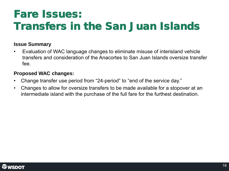### Fare Issues: Transfers in the San Juan Islands

#### **Issue Summary**

• Evaluation of WAC language changes to eliminate misuse of interisland vehicle transfers and consideration of the Anacortes to San Juan Islands oversize transfer fee.

#### **Proposed WAC changes:**

- Change transfer use period from "24-period" to "end of the service day."
- Changes to allow for oversize transfers to be made available for a stopover at an intermediate island with the purchase of the full fare for the furthest destination.

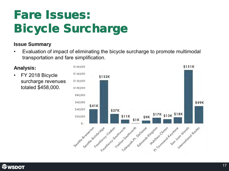## Fare Issues: Bicycle Surcharge

### **Issue Summary**

• Evaluation of impact of eliminating the bicycle surcharge to promote multimodal transportation and fare simplification.



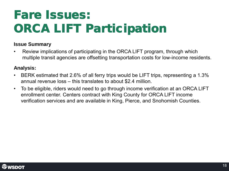# Fare *Issues:* ORCA LIFT Participation

#### **Issue Summary**

• Review implications of participating in the ORCA LIFT program, through which multiple transit agencies are offsetting transportation costs for low-income residents.

### **Analysis:**

- BERK estimated that 2.6% of all ferry trips would be LIFT trips, representing a 1.3% annual revenue loss – this translates to about \$2.4 million.
- To be eligible, riders would need to go through income verification at an ORCA LIFT enrollment center. Centers contract with King County for ORCA LIFT income verification services and are available in King, Pierce, and Snohomish Counties.

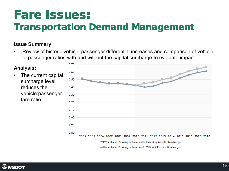## Fare *Issues:*

### Transportation Demand Management

### **Issue Summary:**

• Review of historic vehicle-passenger differential increases and comparison of vehicle to passenger ratios with and without the capital surcharge to evaluate impact.

#### **Analysis:** 3.60 • The current capital 3.50 surcharge level reduces the  $3.40$ vehicle:passenger 3.30 fare ratio.  $3.20$



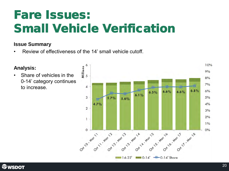## Fare *Issues*: Small Vehicle Verification

### **Issue Summary**

• Review of effectiveness of the 14' small vehicle cutoff.



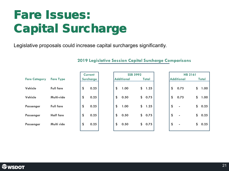# Fare Issues: Capital Surcharge

Legislative proposals could increase capital surcharges significantly.

|                      |                  |                             | <b>2019 Legislative Session Capital Surcharge Comparisons</b> |                                              |            |
|----------------------|------------------|-----------------------------|---------------------------------------------------------------|----------------------------------------------|------------|
| <b>Fare Category</b> | <b>Fare Type</b> | <b>Current</b><br>Surcharge | <b>SSB 5992</b><br><b>Additional</b><br>Total                 | <b>HB 2161</b><br><b>Additional</b><br>Total |            |
| Vehicle              | <b>Full fare</b> | \$<br>0.25                  | \$<br>\$<br>1.25<br>1.00                                      | \$<br>0.75                                   | \$<br>1.00 |
| Vehicle              | Multi-ride       | \$<br>0.25                  | \$<br>\$<br>0.50<br>0.75                                      | \$<br>0.75                                   | \$<br>1.00 |
| <b>Passenger</b>     | <b>Full fare</b> | \$<br>0.25                  | \$<br>\$<br>1.00<br>1.25                                      | \$<br>$\sim$                                 | \$<br>0.25 |
| <b>Passenger</b>     | <b>Half fare</b> | \$<br>0.25                  | \$<br>\$<br>0.50<br>0.75                                      | \$<br>$\blacksquare$                         | \$<br>0.25 |
| <b>Passenger</b>     | Multi ride       | \$<br>0.25                  | \$<br>\$<br>0.50<br>0.75                                      | \$<br>$\blacksquare$                         | \$<br>0.25 |
|                      |                  |                             |                                                               |                                              |            |

#### **2019 Legislative Session Capital Surcharge Comparisons**

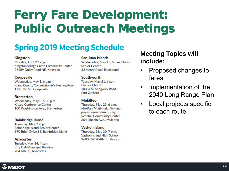# Ferry Fare Development: Public Outreach Meetings

### **Spring 2019 Meeting Schedule**

#### **Kingston**

Monday, April 29, 6 p.m. Kingston Village Green Community Center 26159 Dulay Road NE, Kingston

#### **Coupeville**

Wednesday, May 1, 6 p.m. Island County Commissioner's Hearing Room 1 NE 7th St., Coupeville

#### **Bremerton**

Wednesday, May 8, 5:30 p.m. **Kitsap Conference Center** 100 Washington Ave., Bremerton

#### **Bainbridge Island**

Thursday, May 9, 6 p.m. **Bainbridge Island Senior Center** 370 Brien Drive SE, Bainbridge Island

#### **Anacortes** Tuesday, May 14, 4 p.m. **City Hall Municipal Building** 904 6th St., Anacortes

#### San Juan Islands

Wednesday, May 15, 5 p.m. Orcas **Senior Center** 62 Henry Road, Eastsound

#### **Southworth**

Tuesday, May 21, 6 p.m. **Harper Church** 10384 SE Sedgwick Road, Port Orchard

#### **Mukilteo**

Thursday, May 23, 6 p.m. Mukilteo Multimodal Terminal project open house 5 - 6 p.m. **Rosehill Community Center** 304 Lincoln Ave., Mukilteo

#### **Vashon Island**

Thursday, May 30, 7 p.m. Vashon Island High School 9600 SW 204th St., Vashon

### **Meeting Topics will include:**

- Proposed changes to fares
- Implementation of the 2040 Long Range Plan
- Local projects specific to each route

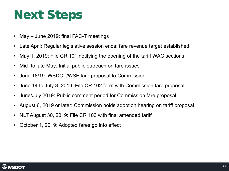## Next Steps

- May June 2019: final FAC-T meetings
- Late April: Regular legislative session ends; fare revenue target established
- May 1, 2019: File CR 101 notifying the opening of the tariff WAC sections
- Mid- to late May: Initial public outreach on fare issues
- June 18/19: WSDOT/WSF fare proposal to Commission
- June 14 to July 3, 2019: File CR 102 form with Commission fare proposal
- June/July 2019: Public comment period for Commission fare proposal
- August 6, 2019 or later: Commission holds adoption hearing on tariff proposal
- NLT August 30, 2019: File CR 103 with final amended tariff
- October 1, 2019: Adopted fares go into effect